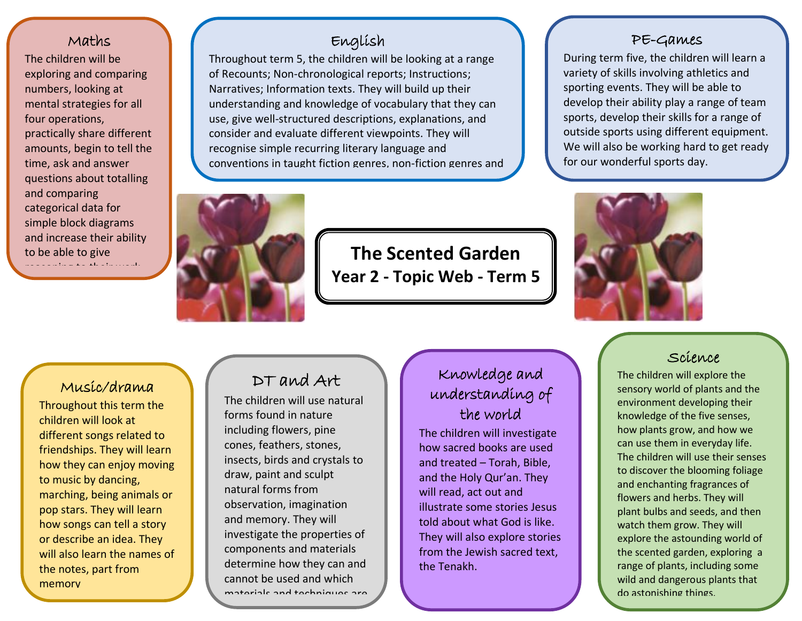# Maths

questions about totalling and increase their ability The children will be exploring and comparing numbers, looking at mental strategies for all four operations, practically share different amounts, begin to tell the time, ask and answer and comparing categorical data for simple block diagrams to be able to give reasoning to their work.

# English

Throughout term 5, the children will be looking at a range of Recounts; Non-chronological reports; Instructions; Narratives; Information texts. They will build up their understanding and knowledge of vocabulary that they can use, give well-structured descriptions, explanations, and consider and evaluate different viewpoints. They will recognise simple recurring literary language and conventions in taught fiction genres, non-fiction genres and

poems.

**The Scented Garden Year 2 - Topic Web - Term 5**

١

### PE-Games

During term five, the children will learn a variety of skills involving athletics and sporting events. They will be able to develop their ability play a range of team sports, develop their skills for a range of outside sports using different equipment. We will also be working hard to get ready for our wonderful sports day.

# Music/drama

Throughout this term the children will look at different songs related to friendships. They will learn how they can enjoy moving to music by dancing, marching, being animals or pop stars. They will learn how songs can tell a story or describe an idea. They will also learn the names of the notes, part from memory

or when written down.

# DT and Art

The children will use natural forms found in nature including flowers, pine cones, feathers, stones, insects, birds and crystals to draw, paint and sculpt natural forms from observation, imagination and memory. They will investigate the properties of components and materials determine how they can and cannot be used and which materials and techniques are

we also different tasks.

# Knowledge and understanding of the world

The children will investigate how sacred books are used and treated – Torah, Bible, and the Holy Qur'an. They will read, act out and illustrate some stories Jesus told about what God is like. They will also explore stories from the Jewish sacred text, the Tenakh.



# Science

The children will explore the sensory world of plants and the environment developing their knowledge of the five senses, how plants grow, and how we can use them in everyday life. The children will use their senses to discover the blooming foliage and enchanting fragrances of flowers and herbs. They will plant bulbs and seeds, and then watch them grow. They will explore the astounding world of the scented garden, exploring a range of plants, including some wild and dangerous plants that do astonishing things.